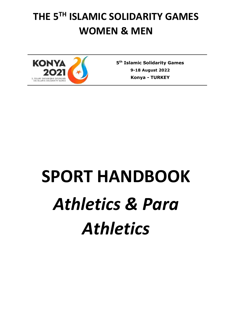## **THE 5TH ISLAMIC SOLIDARITY GAMES WOMEN & MEN**



**5 th Islamic Solidarity Games 9-18 August 2022 Konya** *-* **TURKEY**

# **SPORT HANDBOOK** *Athletics & Para Athletics*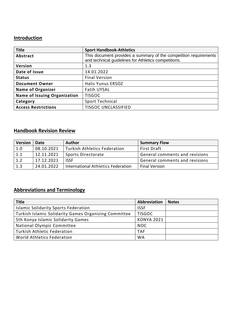## **Introduction**

| <b>Title</b>                        | <b>Sport Handbook-Athletics</b>                                                                                          |
|-------------------------------------|--------------------------------------------------------------------------------------------------------------------------|
| Abstract                            | This document provides a summary of the competition requirements<br>and technical guidelines for Athletics competitions. |
| <b>Version</b>                      | 1.3                                                                                                                      |
| Date of Issue                       | 14.01.2022                                                                                                               |
| <b>Status</b>                       | <b>Final Version</b>                                                                                                     |
| <b>Document Owner</b>               | Halis Yunus ERSOZ                                                                                                        |
| <b>Name of Organizer</b>            | <b>Fatih UYSAL</b>                                                                                                       |
| <b>Name of Issuing Organization</b> | <b>TISGOC</b>                                                                                                            |
| Category                            | Sport Technical                                                                                                          |
| <b>Access Restrictions</b>          | <b>TISGOC UNCLASSIFIED</b>                                                                                               |

## **Handbook Revision Review**

| <b>Version</b> | Date       | <b>Author</b>                       | <b>Summary Flow</b>            |
|----------------|------------|-------------------------------------|--------------------------------|
| 1.0            | 08.10.2021 | <b>Turkish Athletics Federation</b> | First Draft                    |
| 1.1            | 12.11.2021 | Sports Directorate                  | General comments and revisions |
| 1.2            | 17.12.2021 | <b>ISSF</b>                         | General comments and revisions |
| 1.3            | 24.01.2022 | International Athletics Federation  | <b>Final Version</b>           |

## **Abbreviations and Terminology**

| <b>Title</b>                                          | <b>Abbreviation</b> | <b>Notes</b> |
|-------------------------------------------------------|---------------------|--------------|
| <b>Islamic Solidarity Sports Federation</b>           | <b>ISSF</b>         |              |
| Turkish Islamic Solidarity Games Organizing Committee | <b>TISGOC</b>       |              |
| 5th Konya Islamic Solidarity Games                    | <b>KONYA 2021</b>   |              |
| National Olympic Committee                            | NOC.                |              |
| <b>Turkish Athletic Federation</b>                    | <b>TAF</b>          |              |
| World Athletics Federation                            | <b>WA</b>           |              |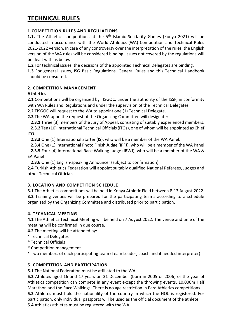## **TECHNICAL RULES**

## **1.COMPETITION RULES AND REGULATIONS**

**1.1.** The Athletics competitions at the 5<sup>th</sup> Islamic Solidarity Games (Konya 2021) will be conducted in accordance with the World Athletics (WA) Competition and Technical Rules 2021-2022 version. In case of any controversy over the interpretation of the rules, the English version of the WA rules will be considered binding. Issues not covered by the regulations will be dealt with as below.

**1.2** For technical issues, the decisions of the appointed Technical Delegates are binding.

**1.3** For general issues, ISG Basic Regulations, General Rules and this Technical Handbook should be consulted.

## **2. COMPETITION MANAGEMENT**

## **Athletics**

**2.1** Competitions will be organized by TISGOC, under the authority of the ISSF, in conformity with WA Rules and Regulations and under the supervision of the Technical Delegates.

**2.2** TISGOC will request to the WA to appoint one (1) Technical Delegate.

**2.3** The WA upon the request of the Organizing Committee will designate:

 **2.3.1** Three (3) members of the Jury of Appeal, consisting of suitably experienced members.

 **2.3.2** Ten (10) International Technical Officials (ITOs), one of whom will be appointed as Chief ITO.

 **2.3.3** One (1) International Starter (IS), who will be a member of the WA Panel.

 **2.3.4** One (1) International Photo Finish Judge (IPFJ), who will be a member of the WA Panel

 **2.3.5** Four (4) International Race Walking Judge (IRWJ), who will be a member of the WA & EA Panel

 **2.3.6** One (1) English-speaking Announcer (subject to confirmation).

**2.4** Turkish Athletics Federation will appoint suitably qualified National Referees, Judges and other Technical Officials.

## **3. LOCATION AND COMPETITON SCHEDULE**

**3.1** The Athletics competitions will be held in Konya Athletic Field between 8-13 August 2022. **3.2** Training venues will be prepared for the participating teams according to a schedule organized by the Organizing Committee and distributed prior to participation.

## **4. TECHNICAL MEETING**

**4.1** The Athletics Technical Meeting will be held on 7 August 2022. The venue and time of the meeting will be confirmed in due course.

**4.2** The meeting will be attended by:

- \* Technical Delegates
- \* Technical Officials
- \* Competition management

\* Two members of each participating team (Team Leader, coach and if needed interpreter)

## **5. COMPETITION AND PARTICIPATION**

**5.1** The National Federation must be affiliated to the WA.

**5.2** Athletes aged 16 and 17 years on 31 December (born in 2005 or 2006) of the year of Athletics competition can compete in any event except the throwing events, 10,000m Half Marathon and the Race Walkings. There is no age restriction in Para Athletics competitions. **5.3** Athletes must hold the nationality of the country in which the NOC is registered. For participation, only individual passports will be used as the official document of the athlete. **5.4** Athletics athletes must be registered with the WA.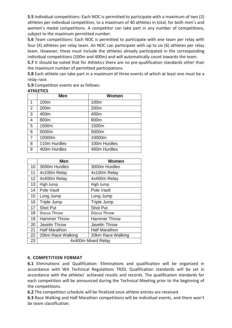**5.5** Individual competitions: Each NOC is permitted to participate with a maximum of two (2) athletes per individual competition, to a maximum of 40 athletes in total, for both men's and women's medal competitions. A competitor can take part in any number of competitions, subject to the maximum permitted number.

**5.6** Team competitions: Each NOC is permitted to participate with one team per relay with four (4) athletes per relay team. An NOC can participate with up to six (6) athletes per relay team. However, these must include the athletes already participated in the corresponding individual competitions (100m and 400m) and will automatically count towards the team.

**5.7** It should be noted that for Athletics there are no pre-qualification standards other than the maximum number of permitted participations.

**5.8** Each athlete can take part in a maximum of three events of which at least one must be a relay-race.

**5.9** Competition events are as follows:

#### **ATHLETICS**

|                | <b>Men</b>   | Women        |
|----------------|--------------|--------------|
| 1              | 100m         | 100m         |
| 2              | 200m         | 200m         |
| 3              | 400m         | 400m         |
| 4              | 800m         | 800m         |
| 5              | 1500m        | 1500m        |
| 6              | 5000m        | 5000m        |
| $\overline{7}$ | 10000m       | 10000m       |
| 8              | 110m Hurdles | 100m Hurdles |
| 9              | 400m Hurdles | 400m Hurdles |

|                 | Men                  | Women                |  |
|-----------------|----------------------|----------------------|--|
| 10              | 3000m Hurdles        | 3000m Hurdles        |  |
| 11              | 4x100m Relay         | 4x100m Relay         |  |
| 12 <sup>2</sup> | 4x400m Relay         | 4x400m Relay         |  |
| 13              | High Jump            | High Jump            |  |
| 14              | Pole Vault           | Pole Vault           |  |
| 15              | Long Jump            | Long Jump            |  |
| 16              | <b>Triple Jump</b>   | Triple Jump          |  |
| 17              | <b>Shot Put</b>      | <b>Shot Put</b>      |  |
| 18              | Discus Throw         | Discus Throw         |  |
| 19              | <b>Hammer Throw</b>  | Hammer Throw         |  |
| 20              | <b>Javelin Throw</b> | <b>Javelin Throw</b> |  |
| 21              | <b>Half Marathon</b> | <b>Half Marathon</b> |  |
| 22              | 20km Race Walking    | 20km Race Walking    |  |
| 23              | 4x400m Mixed Relay   |                      |  |

## **6. COMPETITION FORMAT**

**6.1** Eliminations and Qualification: Eliminations and qualification will be organized in accordance with WA Technical Regulations TR20. Qualification standards will be set in accordance with the athletes' achieved results and records. The qualification standards for each competition will be announced during the Technical Meeting prior to the beginning of the competitions.

**6.2** The competition schedule will be finalized once athlete entries are received.

**6.3** Race Walking and Half Marathon competitions will be individual events, and there won't be team classification.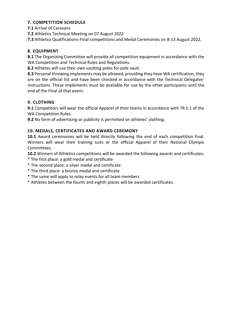## **7. COMPETITION SCHEDULE**

**7.1** Arrival of Caravans

**7.2** Athletics Technical Meeting on 07 August 2022

**7.3** Athletics Qualifications-Final competitions and Medal Ceremonies on 8-13 August 2022,

## **8. EQUIPMENT**

**8.1** The Organizing Committee will provide all competition equipment in accordance with the WA Competition and Technical Rules and Regulations.

**8.2** Athletes will use their own vaulting poles for pole vault.

**8.3** Personal throwing implements may be allowed, providing they have WA certification, they are on the official list and have been checked in accordance with the Technical Delegates' instructions. These implements must be available for use by the other participants until the end of the Final of that event.

## **9. CLOTHING**

**9.1** Competitors will wear the official Apparel of their teams in accordance with TR 5.1 of the WA Competition Rules.

**9.2** No form of advertising or publicity is permitted on athletes' clothing.

## **10. MEDALS, CERTIFICATES AND AWARD CEREMONY**

**10.1** Award ceremonies will be held directly following the end of each competition final. Winners will wear their training suits or the official Apparel of their National Olympic Committees.

**10.2** Winners of Athletics competitions will be awarded the following awards and certificates:

- \* The first place: a gold medal and certificate
- \* The second place: a silver medal and certificate
- \* The third place: a bronze medal and certificate
- \* The same will apply to relay events for all team members
- \* Athletes between the fourth and eighth places will be awarded certificates.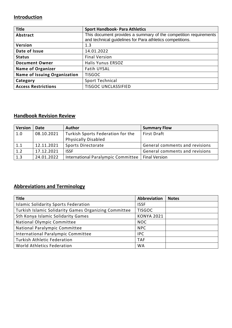## **Introduction**

| <b>Title</b>                        | <b>Sport Handbook- Para Athletics</b>                                                                                         |
|-------------------------------------|-------------------------------------------------------------------------------------------------------------------------------|
| Abstract                            | This document provides a summary of the competition requirements<br>and technical guidelines for Para athletics competitions. |
| Version                             | 1.3                                                                                                                           |
| Date of Issue                       | 14.01.2022                                                                                                                    |
| <b>Status</b>                       | <b>Final Version</b>                                                                                                          |
| <b>Document Owner</b>               | <b>Halis Yunus ERSOZ</b>                                                                                                      |
| <b>Name of Organizer</b>            | <b>Fatih UYSAL</b>                                                                                                            |
| <b>Name of Issuing Organization</b> | <b>TISGOC</b>                                                                                                                 |
| Category                            | Sport Technical                                                                                                               |
| <b>Access Restrictions</b>          | <b>TISGOC UNCLASSIFIED</b>                                                                                                    |

## **Handbook Revision Review**

| <b>Version</b> | Date       | <b>Author</b>                      | <b>Summary Flow</b>            |
|----------------|------------|------------------------------------|--------------------------------|
| 1.0            | 08.10.2021 | Turkish Sports Federation for the  | First Draft                    |
|                |            | <b>Physically Disabled</b>         |                                |
| 1.1            | 12.11.2021 | Sports Directorate                 | General comments and revisions |
| 1.2            | 17.12.2021 | <b>ISSF</b>                        | General comments and revisions |
| 1.3            | 24.01.2022 | International Paralympic Committee | <b>Final Version</b>           |

## **Abbreviations and Terminology**

| <b>Title</b>                                          | <b>Abbreviation</b> | <b>Notes</b> |
|-------------------------------------------------------|---------------------|--------------|
| <b>Islamic Solidarity Sports Federation</b>           | <b>ISSF</b>         |              |
| Turkish Islamic Solidarity Games Organizing Committee | <b>TISGOC</b>       |              |
| 5th Konya Islamic Solidarity Games                    | <b>KONYA 2021</b>   |              |
| National Olympic Committee                            | <b>NOC</b>          |              |
| National Paralympic Committee                         | <b>NPC</b>          |              |
| International Paralympic Committee                    | <b>IPC</b>          |              |
| <b>Turkish Athletic Federation</b>                    | <b>TAF</b>          |              |
| World Athletics Federation                            | <b>WA</b>           |              |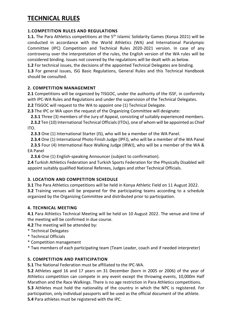## **TECHNICAL RULES**

## **1.COMPETITION RULES AND REGULATIONS**

**1.1.** The Para Athletics competitions at the 5<sup>th</sup> Islamic Solidarity Games (Konya 2021) will be conducted in accordance with the World Athletics (WA) and International Paralympic Committee (IPC) Competition and Technical Rules 2020-2021 version. In case of any controversy over the interpretation of the rules, the English version of the WA rules will be considered binding. Issues not covered by the regulations will be dealt with as below.

**1.2** For technical issues, the decisions of the appointed Technical Delegates are binding.

**1.3** For general issues, ISG Basic Regulations, General Rules and this Technical Handbook should be consulted.

## **2. COMPETITION MANAGEMENT**

**2.1** Competitions will be organized by TISGOC, under the authority of the ISSF, in conformity with IPC-WA Rules and Regulations and under the supervision of the Technical Delegates.

**2.2** TISGOC will request to the WA to appoint one (1) Technical Delegate.

**2.3** The IPC or WA upon the request of the Organizing Committee will designate:

 **2.3.1** Three (3) members of the Jury of Appeal, consisting of suitably experienced members.

 **2.3.2** Ten (10) International Technical Officials (ITOs), one of whom will be appointed as Chief ITO.

 **2.3.3** One (1) International Starter (IS), who will be a member of the WA Panel.

 **2.3.4** One (1) International Photo Finish Judge (IPFJ), who will be a member of the WA Panel

 **2.3.5** Four (4) International Race Walking Judge (IRWJ), who will be a member of the WA & EA Panel

 **2.3.6** One (1) English-speaking Announcer (subject to confirmation).

**2.4** Turkish Athletics Federation and Turkish Sports Federation for the Physically Disabled will appoint suitably qualified National Referees, Judges and other Technical Officials.

## **3. LOCATION AND COMPETITON SCHEDULE**

**3.1** The Para Athletics competitions will be held in Konya Athletic Field on 11 August 2022. **3.2** Training venues will be prepared for the participating teams according to a schedule organized by the Organizing Committee and distributed prior to participation.

## **4. TECHNICAL MEETING**

**4.1** Para Athletics Technical Meeting will be held on 10 August 2022. The venue and time of the meeting will be confirmed in due course.

**4.2** The meeting will be attended by:

- \* Technical Delegates
- \* Technical Officials
- \* Competition management
- \* Two members of each participating team (Team Leader, coach and if needed interpreter)

## **5. COMPETITION AND PARTICIPATION**

**5.1** The National Federation must be affiliated to the IPC-WA.

**5.2** Athletes aged 16 and 17 years on 31 December (born in 2005 or 2006) of the year of Athletics competition can compete in any event except the throwing events, 10,000m Half Marathon and the Race Walkings. There is no age restriction in Para Athletics competitions.

**5.3** Athletes must hold the nationality of the country in which the NPC is registered. For participation, only individual passports will be used as the official document of the athlete. **5.4** Para athletes must be registered with the IPC.